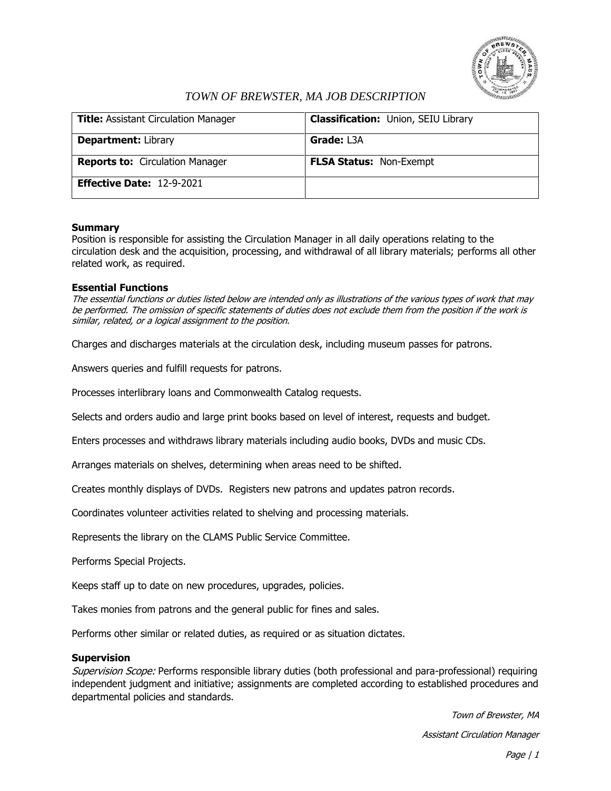

# *TOWN OF BREWSTER, MA JOB DESCRIPTION*

| <b>Title: Assistant Circulation Manager</b> | <b>Classification: Union, SEIU Library</b> |
|---------------------------------------------|--------------------------------------------|
| <b>Department: Library</b>                  | <b>Grade: L3A</b>                          |
| <b>Reports to: Circulation Manager</b>      | <b>FLSA Status: Non-Exempt</b>             |
| Effective Date: 12-9-2021                   |                                            |

## **Summary**

Position is responsible for assisting the Circulation Manager in all daily operations relating to the circulation desk and the acquisition, processing, and withdrawal of all library materials; performs all other related work, as required.

## **Essential Functions**

The essential functions or duties listed below are intended only as illustrations of the various types of work that may be performed. The omission of specific statements of duties does not exclude them from the position if the work is similar, related, or a logical assignment to the position.

Charges and discharges materials at the circulation desk, including museum passes for patrons.

Answers queries and fulfill requests for patrons.

Processes interlibrary loans and Commonwealth Catalog requests.

Selects and orders audio and large print books based on level of interest, requests and budget.

Enters processes and withdraws library materials including audio books, DVDs and music CDs.

Arranges materials on shelves, determining when areas need to be shifted.

Creates monthly displays of DVDs. Registers new patrons and updates patron records.

Coordinates volunteer activities related to shelving and processing materials.

Represents the library on the CLAMS Public Service Committee.

Performs Special Projects.

Keeps staff up to date on new procedures, upgrades, policies.

Takes monies from patrons and the general public for fines and sales.

Performs other similar or related duties, as required or as situation dictates.

#### **Supervision**

Supervision Scope: Performs responsible library duties (both professional and para-professional) requiring independent judgment and initiative; assignments are completed according to established procedures and departmental policies and standards.

> Town of Brewster, MA Assistant Circulation Manager